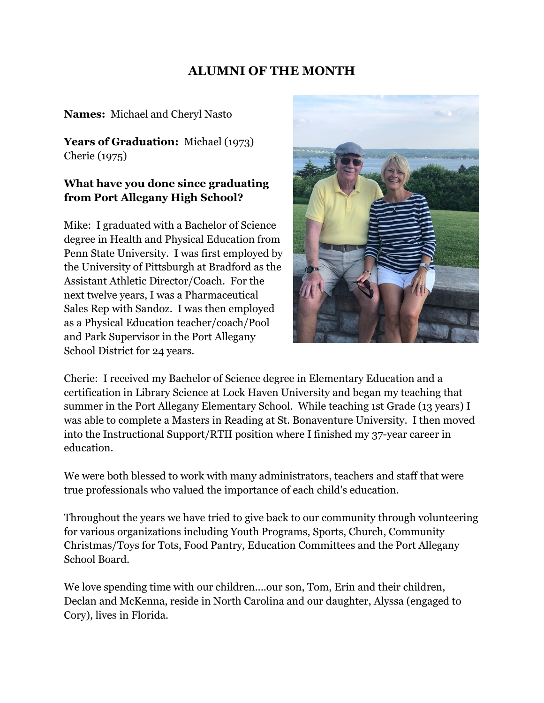# **ALUMNI OF THE MONTH**

#### **Names:** Michael and Cheryl Nasto

Years of Graduation: Michael (1973) Cherie (1975)

#### **What have you done since graduating from Port Allegany High School?**

Mike: I graduated with a Bachelor of Science degree in Health and Physical Education from Penn State University. I was first employed by the University of Pittsburgh at Bradford as the Assistant Athletic Director/Coach. For the next twelve years, I was a Pharmaceutical Sales Rep with Sandoz. I was then employed as a Physical Education teacher/coach/Pool and Park Supervisor in the Port Allegany School District for 24 years.



Cherie: I received my Bachelor of Science degree in Elementary Education and a certification in Library Science at Lock Haven University and began my teaching that summer in the Port Allegany Elementary School. While teaching 1st Grade (13 years) I was able to complete a Masters in Reading at St. Bonaventure University. I then moved into the Instructional Support/RTII position where I finished my 37-year career in education.

We were both blessed to work with many administrators, teachers and staff that were true professionals who valued the importance of each child's education.

Throughout the years we have tried to give back to our community through volunteering for various organizations including Youth Programs, Sports, Church, Community Christmas/Toys for Tots, Food Pantry, Education Committees and the Port Allegany School Board.

We love spending time with our children....our son, Tom, Erin and their children, Declan and McKenna, reside in North Carolina and our daughter, Alyssa (engaged to Cory), lives in Florida.